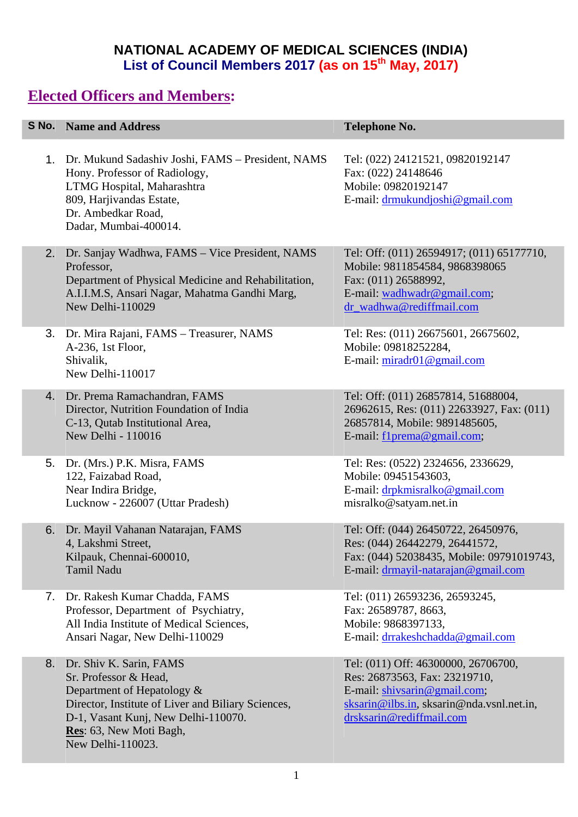#### **NATIONAL ACADEMY OF MEDICAL SCIENCES (INDIA) List of Council Members 2017 (as on 15th May, 2017)**

## **Elected Officers and Members:**

|    | <b>S No.</b> Name and Address                                                                                                                                                                                               | <b>Telephone No.</b>                                                                                                                                                          |
|----|-----------------------------------------------------------------------------------------------------------------------------------------------------------------------------------------------------------------------------|-------------------------------------------------------------------------------------------------------------------------------------------------------------------------------|
|    | 1. Dr. Mukund Sadashiv Joshi, FAMS – President, NAMS<br>Hony. Professor of Radiology,<br>LTMG Hospital, Maharashtra<br>809, Harjivandas Estate,<br>Dr. Ambedkar Road,<br>Dadar, Mumbai-400014.                              | Tel: (022) 24121521, 09820192147<br>Fax: (022) 24148646<br>Mobile: 09820192147<br>E-mail: drmukundjoshi@gmail.com                                                             |
|    | 2. Dr. Sanjay Wadhwa, FAMS - Vice President, NAMS<br>Professor,<br>Department of Physical Medicine and Rehabilitation,<br>A.I.I.M.S, Ansari Nagar, Mahatma Gandhi Marg,<br>New Delhi-110029                                 | Tel: Off: (011) 26594917; (011) 65177710,<br>Mobile: 9811854584, 9868398065<br>Fax: (011) 26588992,<br>E-mail: wadhwadr@gmail.com;<br>dr_wadhwa@rediffmail.com                |
|    | 3. Dr. Mira Rajani, FAMS - Treasurer, NAMS<br>A-236, 1st Floor,<br>Shivalik,<br>New Delhi-110017                                                                                                                            | Tel: Res: (011) 26675601, 26675602,<br>Mobile: 09818252284,<br>E-mail: $miradr01@gmail.com$                                                                                   |
|    | 4. Dr. Prema Ramachandran, FAMS<br>Director, Nutrition Foundation of India<br>C-13, Qutab Institutional Area,<br>New Delhi - 110016                                                                                         | Tel: Off: (011) 26857814, 51688004,<br>26962615, Res: (011) 22633927, Fax: (011)<br>26857814, Mobile: 9891485605,<br>E-mail: f1prema@gmail.com;                               |
|    | 5. Dr. (Mrs.) P.K. Misra, FAMS<br>122, Faizabad Road,<br>Near Indira Bridge,<br>Lucknow - 226007 (Uttar Pradesh)                                                                                                            | Tel: Res: (0522) 2324656, 2336629,<br>Mobile: 09451543603,<br>E-mail: drpkmisralko@gmail.com<br>misralko@satyam.net.in                                                        |
| 6. | Dr. Mayil Vahanan Natarajan, FAMS<br>4, Lakshmi Street,<br>Kilpauk, Chennai-600010,<br>Tamil Nadu                                                                                                                           | Tel: Off: (044) 26450722, 26450976,<br>Res: (044) 26442279, 26441572,<br>Fax: (044) 52038435, Mobile: 09791019743,<br>E-mail: drmayil-natarajan@gmail.com                     |
|    | 7. Dr. Rakesh Kumar Chadda, FAMS<br>Professor, Department of Psychiatry,<br>All India Institute of Medical Sciences,<br>Ansari Nagar, New Delhi-110029                                                                      | Tel: (011) 26593236, 26593245,<br>Fax: 26589787, 8663,<br>Mobile: 9868397133,<br>E-mail: drrakeshchadda@gmail.com                                                             |
| 8. | Dr. Shiv K. Sarin, FAMS<br>Sr. Professor & Head,<br>Department of Hepatology &<br>Director, Institute of Liver and Biliary Sciences,<br>D-1, Vasant Kunj, New Delhi-110070.<br>Res: 63, New Moti Bagh,<br>New Delhi-110023. | Tel: (011) Off: 46300000, 26706700,<br>Res: 26873563, Fax: 23219710,<br>E-mail: shivsarin@gmail.com;<br>sksarin@ilbs.in, sksarin@nda.vsnl.net.in,<br>drsksarin@rediffmail.com |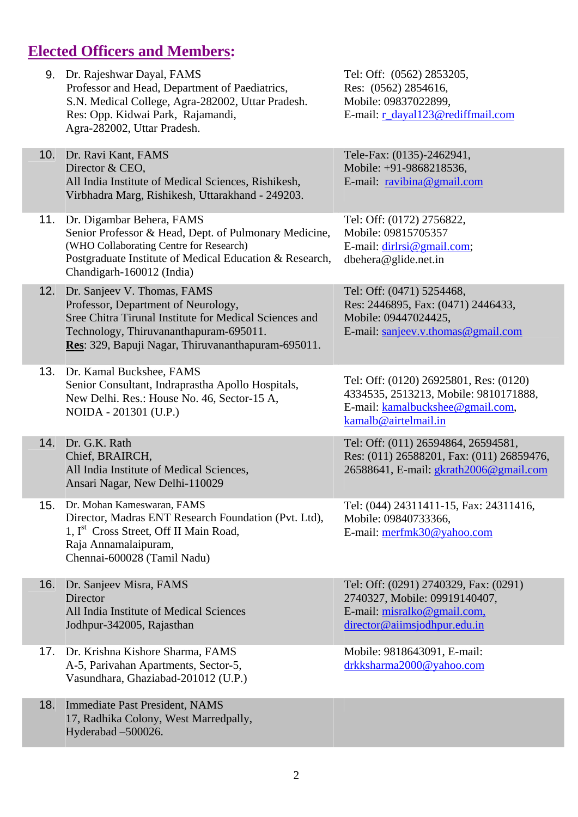# **Elected Officers and Members:**

| 9.  | Dr. Rajeshwar Dayal, FAMS<br>Professor and Head, Department of Paediatrics,<br>S.N. Medical College, Agra-282002, Uttar Pradesh.<br>Res: Opp. Kidwai Park, Rajamandi,<br>Agra-282002, Uttar Pradesh.                         | Tel: Off: (0562) 2853205,<br>Res: (0562) 2854616,<br>Mobile: 09837022899,<br>E-mail: r_dayal123@rediffmail.com                              |
|-----|------------------------------------------------------------------------------------------------------------------------------------------------------------------------------------------------------------------------------|---------------------------------------------------------------------------------------------------------------------------------------------|
| 10. | Dr. Ravi Kant, FAMS<br>Director & CEO,<br>All India Institute of Medical Sciences, Rishikesh,<br>Virbhadra Marg, Rishikesh, Uttarakhand - 249203.                                                                            | Tele-Fax: (0135)-2462941,<br>Mobile: +91-9868218536,<br>E-mail: $ravibina@gmail.com$                                                        |
| 11. | Dr. Digambar Behera, FAMS<br>Senior Professor & Head, Dept. of Pulmonary Medicine,<br>(WHO Collaborating Centre for Research)<br>Postgraduate Institute of Medical Education & Research,<br>Chandigarh-160012 (India)        | Tel: Off: (0172) 2756822,<br>Mobile: 09815705357<br>E-mail: dirlrsi@gmail.com;<br>dbehera@glide.net.in                                      |
| 12. | Dr. Sanjeev V. Thomas, FAMS<br>Professor, Department of Neurology,<br>Sree Chitra Tirunal Institute for Medical Sciences and<br>Technology, Thiruvananthapuram-695011.<br>Res: 329, Bapuji Nagar, Thiruvananthapuram-695011. | Tel: Off: (0471) 5254468,<br>Res: 2446895, Fax: (0471) 2446433,<br>Mobile: 09447024425,<br>E-mail: sanjeev.v.thomas@gmail.com               |
| 13. | Dr. Kamal Buckshee, FAMS<br>Senior Consultant, Indraprastha Apollo Hospitals,<br>New Delhi. Res.: House No. 46, Sector-15 A,<br>NOIDA - 201301 (U.P.)                                                                        | Tel: Off: (0120) 26925801, Res: (0120)<br>4334535, 2513213, Mobile: 9810171888,<br>E-mail: kamalbuckshee@gmail.com,<br>kamalb@airtelmail.in |
| 14. | Dr. G.K. Rath<br>Chief, BRAIRCH,<br>All India Institute of Medical Sciences,<br>Ansari Nagar, New Delhi-110029                                                                                                               | Tel: Off: (011) 26594864, 26594581,<br>Res: (011) 26588201, Fax: (011) 26859476,<br>26588641, E-mail: gkrath2006@gmail.com                  |
| 15. | Dr. Mohan Kameswaran, FAMS<br>Director, Madras ENT Research Foundation (Pvt. Ltd),<br>1, I <sup>st</sup> Cross Street, Off II Main Road,<br>Raja Annamalaipuram,<br>Chennai-600028 (Tamil Nadu)                              | Tel: (044) 24311411-15, Fax: 24311416,<br>Mobile: 09840733366,<br>E-mail: merfmk30@yahoo.com                                                |
| 16. | Dr. Sanjeev Misra, FAMS<br>Director<br>All India Institute of Medical Sciences<br>Jodhpur-342005, Rajasthan                                                                                                                  | Tel: Off: (0291) 2740329, Fax: (0291)<br>2740327, Mobile: 09919140407,<br>E-mail: misralko@gmail.com,<br>director@aiimsjodhpur.edu.in       |
| 17. | Dr. Krishna Kishore Sharma, FAMS<br>A-5, Parivahan Apartments, Sector-5,<br>Vasundhara, Ghaziabad-201012 (U.P.)                                                                                                              | Mobile: 9818643091, E-mail:<br>drkksharma2000@yahoo.com                                                                                     |
| 18. | <b>Immediate Past President, NAMS</b><br>17, Radhika Colony, West Marredpally,<br>Hyderabad -500026.                                                                                                                         |                                                                                                                                             |
|     |                                                                                                                                                                                                                              |                                                                                                                                             |